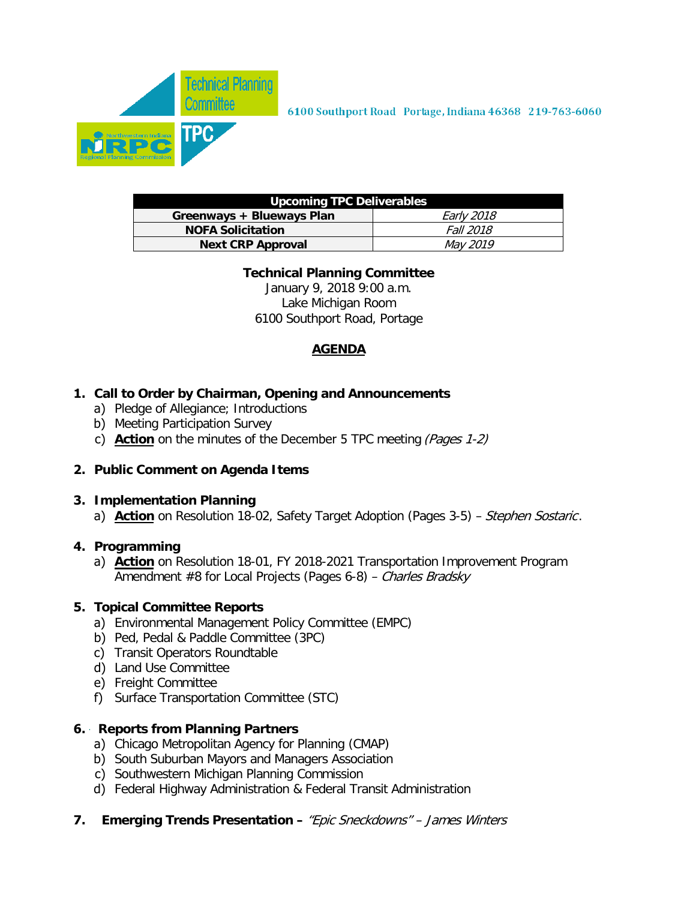

| Upcoming TPC Deliverables |                   |  |  |  |  |  |  |
|---------------------------|-------------------|--|--|--|--|--|--|
| Greenways + Blueways Plan | <i>Early 2018</i> |  |  |  |  |  |  |
| <b>NOFA Solicitation</b>  | <i>Fall 2018</i>  |  |  |  |  |  |  |
| <b>Next CRP Approval</b>  | <i>May 2019</i>   |  |  |  |  |  |  |

#### **Technical Planning Committee**

January 9, 2018 9:00 a.m. Lake Michigan Room 6100 Southport Road, Portage

## **AGENDA**

#### **1. Call to Order by Chairman, Opening and Announcements**

- a) Pledge of Allegiance; Introductions
- b) Meeting Participation Survey
- c) **Action** on the minutes of the December 5 TPC meeting (Pages 1-2)

#### **2. Public Comment on Agenda Items**

#### **3. Implementation Planning**

a) **Action** on Resolution 18-02, Safety Target Adoption (Pages 3-5) – Stephen Sostaric.

#### **4. Programming**

a) **Action** on Resolution 18-01, FY 2018-2021 Transportation Improvement Program Amendment #8 for Local Projects (Pages 6-8) – Charles Bradsky

#### **5. Topical Committee Reports**

- a) Environmental Management Policy Committee (EMPC)
- b) Ped, Pedal & Paddle Committee (3PC)
- c) Transit Operators Roundtable
- d) Land Use Committee
- e) Freight Committee
- f) Surface Transportation Committee (STC)

#### **6. Reports from Planning Partners**

- a) Chicago Metropolitan Agency for Planning (CMAP)
- b) South Suburban Mayors and Managers Association
- c) Southwestern Michigan Planning Commission
- d) Federal Highway Administration & Federal Transit Administration
- **7. Emerging Trends Presentation** "Epic Sneckdowns" James Winters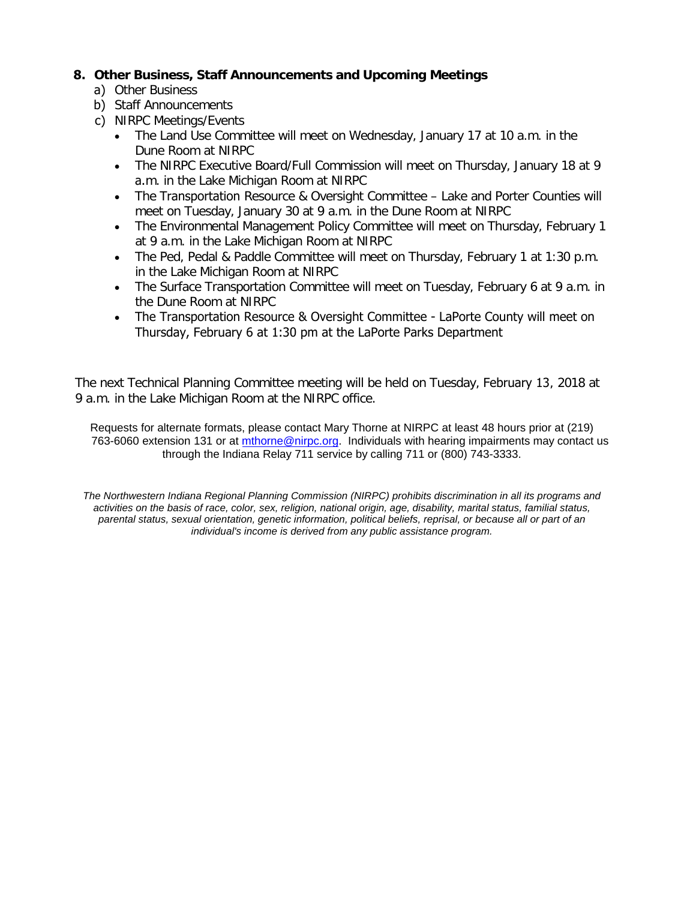#### **8. Other Business, Staff Announcements and Upcoming Meetings**

- a) Other Business
- b) Staff Announcements
- c) NIRPC Meetings/Events
	- The Land Use Committee will meet on Wednesday, January 17 at 10 a.m. in the Dune Room at NIRPC
	- The NIRPC Executive Board/Full Commission will meet on Thursday, January 18 at 9 a.m. in the Lake Michigan Room at NIRPC
	- The Transportation Resource & Oversight Committee Lake and Porter Counties will meet on Tuesday, January 30 at 9 a.m. in the Dune Room at NIRPC
	- The Environmental Management Policy Committee will meet on Thursday, February 1 at 9 a.m. in the Lake Michigan Room at NIRPC
	- The Ped, Pedal & Paddle Committee will meet on Thursday, February 1 at 1:30 p.m. in the Lake Michigan Room at NIRPC
	- The Surface Transportation Committee will meet on Tuesday, February 6 at 9 a.m. in the Dune Room at NIRPC
	- The Transportation Resource & Oversight Committee LaPorte County will meet on Thursday, February 6 at 1:30 pm at the LaPorte Parks Department

The next Technical Planning [Committee](mailto:mthorne@nirpc.org) meeting will be held on Tuesday, February 13, 2018 at 9 a.m. in the Lake Michigan Room at the NIRPC office.

Requests for alternate formats, please contact Mary Thorne at NIRPC at least 48 hours prior at (219) 763-6060 extension 131 or at mthorne@nirpc.org. Individuals with hearing impairments may contact us through the Indiana Relay 711 service by calling 711 or (800) 743-3333.

*The Northwestern Indiana Regional Planning Commission (NIRPC) prohibits discrimination in all its programs and activities on the basis of race, color, sex, religion, national origin, age, disability, marital status, familial status, parental status, sexual orientation, genetic information, political beliefs, reprisal, or because all or part of an individual's income is derived from any public assistance program.*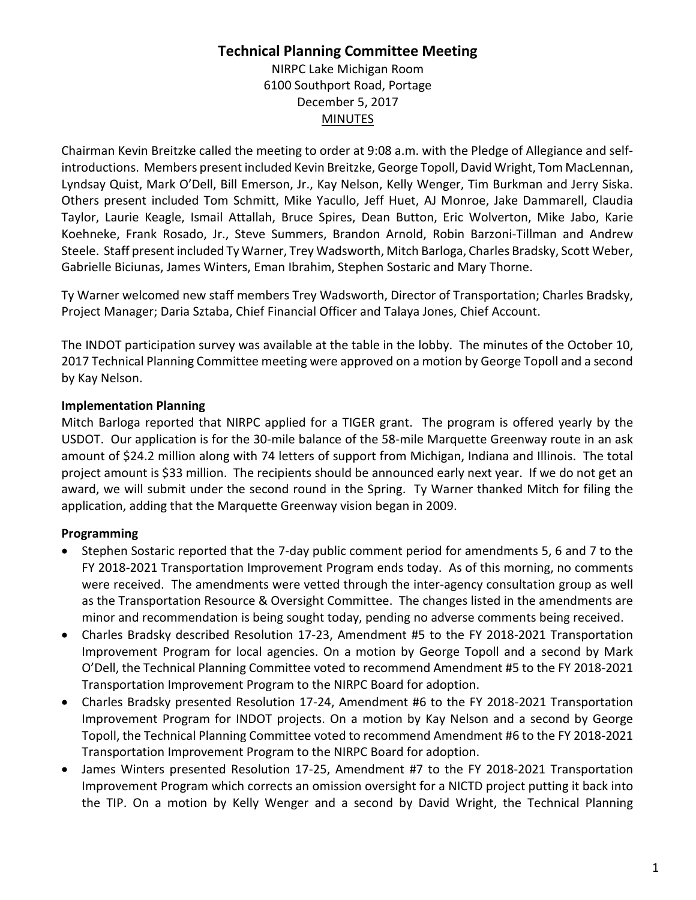## **Technical Planning Committee Meeting** NIRPC Lake Michigan Room

6100 Southport Road, Portage December 5, 2017 MINUTES

Chairman Kevin Breitzke called the meeting to order at 9:08 a.m. with the Pledge of Allegiance and selfintroductions. Members present included Kevin Breitzke, George Topoll, David Wright, Tom MacLennan, Lyndsay Quist, Mark O'Dell, Bill Emerson, Jr., Kay Nelson, Kelly Wenger, Tim Burkman and Jerry Siska. Others present included Tom Schmitt, Mike Yacullo, Jeff Huet, AJ Monroe, Jake Dammarell, Claudia Taylor, Laurie Keagle, Ismail Attallah, Bruce Spires, Dean Button, Eric Wolverton, Mike Jabo, Karie Koehneke, Frank Rosado, Jr., Steve Summers, Brandon Arnold, Robin Barzoni-Tillman and Andrew Steele. Staff present included Ty Warner, Trey Wadsworth, Mitch Barloga, Charles Bradsky, Scott Weber, Gabrielle Biciunas, James Winters, Eman Ibrahim, Stephen Sostaric and Mary Thorne.

Ty Warner welcomed new staff members Trey Wadsworth, Director of Transportation; Charles Bradsky, Project Manager; Daria Sztaba, Chief Financial Officer and Talaya Jones, Chief Account.

The INDOT participation survey was available at the table in the lobby. The minutes of the October 10, 2017 Technical Planning Committee meeting were approved on a motion by George Topoll and a second by Kay Nelson.

## **Implementation Planning**

Mitch Barloga reported that NIRPC applied for a TIGER grant. The program is offered yearly by the USDOT. Our application is for the 30-mile balance of the 58-mile Marquette Greenway route in an ask amount of \$24.2 million along with 74 letters of support from Michigan, Indiana and Illinois. The total project amount is \$33 million. The recipients should be announced early next year. If we do not get an award, we will submit under the second round in the Spring. Ty Warner thanked Mitch for filing the application, adding that the Marquette Greenway vision began in 2009.

## **Programming**

- Stephen Sostaric reported that the 7-day public comment period for amendments 5, 6 and 7 to the FY 2018-2021 Transportation Improvement Program ends today. As of this morning, no comments were received. The amendments were vetted through the inter-agency consultation group as well as the Transportation Resource & Oversight Committee. The changes listed in the amendments are minor and recommendation is being sought today, pending no adverse comments being received.
- Charles Bradsky described Resolution 17-23, Amendment #5 to the FY 2018-2021 Transportation Improvement Program for local agencies. On a motion by George Topoll and a second by Mark O'Dell, the Technical Planning Committee voted to recommend Amendment #5 to the FY 2018-2021 Transportation Improvement Program to the NIRPC Board for adoption.
- Charles Bradsky presented Resolution 17-24, Amendment #6 to the FY 2018-2021 Transportation Improvement Program for INDOT projects. On a motion by Kay Nelson and a second by George Topoll, the Technical Planning Committee voted to recommend Amendment #6 to the FY 2018-2021 Transportation Improvement Program to the NIRPC Board for adoption.
- James Winters presented Resolution 17-25, Amendment #7 to the FY 2018-2021 Transportation Improvement Program which corrects an omission oversight for a NICTD project putting it back into the TIP. On a motion by Kelly Wenger and a second by David Wright, the Technical Planning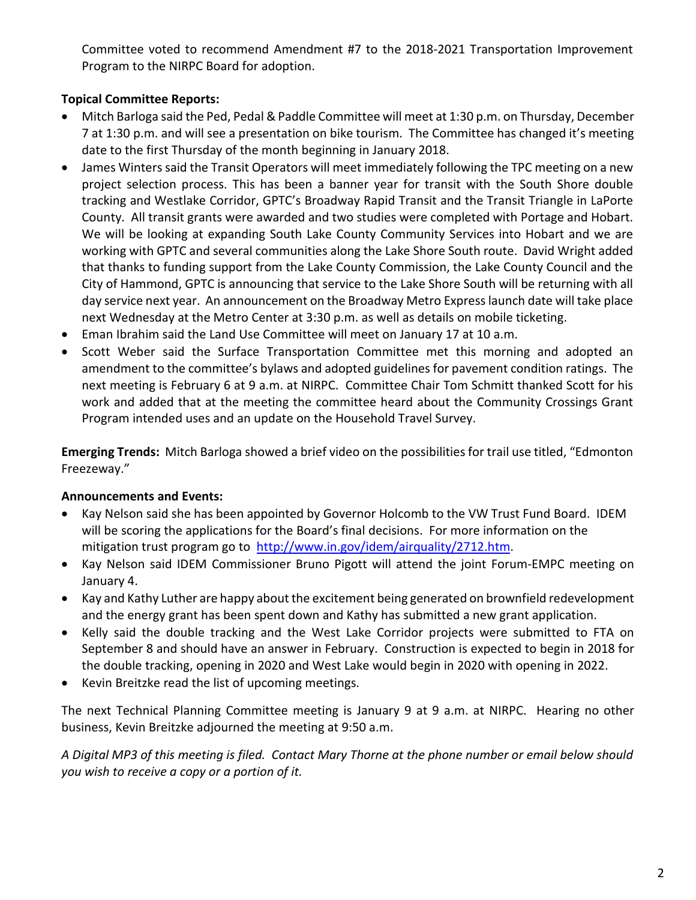Committee voted to recommend Amendment #7 to the 2018-2021 Transportation Improvement Program to the NIRPC Board for adoption.

## **Topical Committee Reports:**

- Mitch Barloga said the Ped, Pedal & Paddle Committee will meet at 1:30 p.m. on Thursday, December 7 at 1:30 p.m. and will see a presentation on bike tourism. The Committee has changed it's meeting date to the first Thursday of the month beginning in January 2018.
- James Winters said the Transit Operators will meet immediately following the TPC meeting on a new project selection process. This has been a banner year for transit with the South Shore double tracking and Westlake Corridor, GPTC's Broadway Rapid Transit and the Transit Triangle in LaPorte County. All transit grants were awarded and two studies were completed with Portage and Hobart. We will be looking at expanding South Lake County Community Services into Hobart and we are working with GPTC and several communities along the Lake Shore South route. David Wright added that thanks to funding support from the Lake County Commission, the Lake County Council and the City of Hammond, GPTC is announcing that service to the Lake Shore South will be returning with all day service next year. An announcement on the Broadway Metro Express launch date will take place next Wednesday at the Metro Center at 3:30 p.m. as well as details on mobile ticketing.
- Eman Ibrahim said the Land Use Committee will meet on January 17 at 10 a.m.
- Scott Weber said the Surface Transportation Committee met this morning and adopted an amendment to the committee's bylaws and adopted guidelines for pavement condition ratings. The next meeting is February 6 at 9 a.m. at NIRPC. Committee Chair Tom Schmitt thanked Scott for his work and added that at the meeting the committee heard about the Community Crossings Grant Program intended uses and an update on the Household Travel Survey.

**Emerging Trends:** Mitch Barloga showed a brief video on the possibilities for trail use titled, "Edmonton Freezeway."

## **Announcements and Events:**

- Kay Nelson said she has been appointed by Governor Holcomb to the VW Trust Fund Board. IDEM will be scoring the applications for the Board's final decisions. For more information on the mitigation trust program go to [http://www.in.gov/idem/airquality/2712.htm.](http://www.in.gov/idem/airquality/2712.htm)
- Kay Nelson said IDEM Commissioner Bruno Pigott will attend the joint Forum-EMPC meeting on January 4.
- Kay and Kathy Luther are happy about the excitement being generated on brownfield redevelopment and the energy grant has been spent down and Kathy has submitted a new grant application.
- Kelly said the double tracking and the West Lake Corridor projects were submitted to FTA on September 8 and should have an answer in February. Construction is expected to begin in 2018 for the double tracking, opening in 2020 and West Lake would begin in 2020 with opening in 2022.
- Kevin Breitzke read the list of upcoming meetings.

The next Technical Planning Committee meeting is January 9 at 9 a.m. at NIRPC. Hearing no other business, Kevin Breitzke adjourned the meeting at 9:50 a.m.

*A Digital MP3 of this meeting is filed. Contact Mary Thorne at the phone number or email below should you wish to receive a copy or a portion of it.*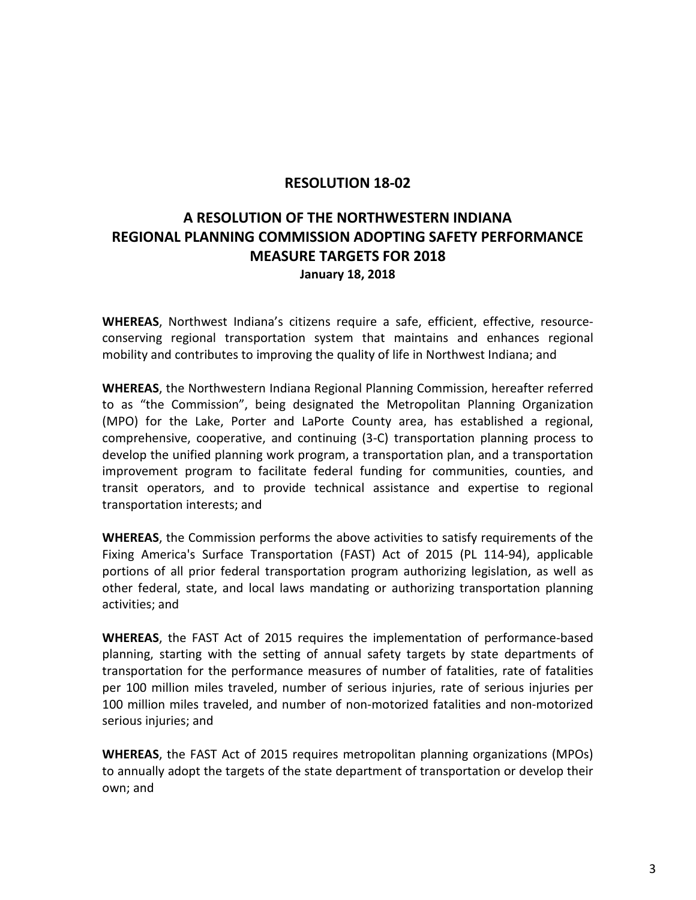### **RESOLUTION 18-02**

# **A RESOLUTION OF THE NORTHWESTERN INDIANA REGIONAL PLANNING COMMISSION ADOPTING SAFETY PERFORMANCE MEASURE TARGETS FOR 2018 January 18, 2018**

**WHEREAS**, Northwest Indiana's citizens require a safe, efficient, effective, resourceconserving regional transportation system that maintains and enhances regional mobility and contributes to improving the quality of life in Northwest Indiana; and

**WHEREAS**, the Northwestern Indiana Regional Planning Commission, hereafter referred to as "the Commission", being designated the Metropolitan Planning Organization (MPO) for the Lake, Porter and LaPorte County area, has established a regional, comprehensive, cooperative, and continuing (3-C) transportation planning process to develop the unified planning work program, a transportation plan, and a transportation improvement program to facilitate federal funding for communities, counties, and transit operators, and to provide technical assistance and expertise to regional transportation interests; and

**WHEREAS**, the Commission performs the above activities to satisfy requirements of the Fixing America's Surface Transportation (FAST) Act of 2015 (PL 114-94), applicable portions of all prior federal transportation program authorizing legislation, as well as other federal, state, and local laws mandating or authorizing transportation planning activities; and

**WHEREAS**, the FAST Act of 2015 requires the implementation of performance-based planning, starting with the setting of annual safety targets by state departments of transportation for the performance measures of number of fatalities, rate of fatalities per 100 million miles traveled, number of serious injuries, rate of serious injuries per 100 million miles traveled, and number of non-motorized fatalities and non-motorized serious injuries; and

**WHEREAS**, the FAST Act of 2015 requires metropolitan planning organizations (MPOs) to annually adopt the targets of the state department of transportation or develop their own; and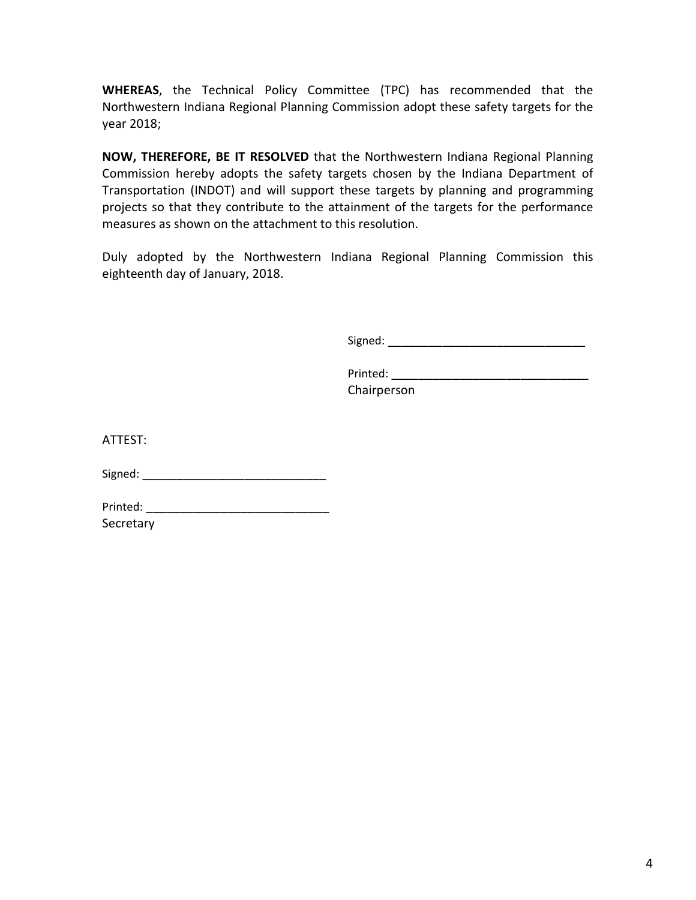**WHEREAS**, the Technical Policy Committee (TPC) has recommended that the Northwestern Indiana Regional Planning Commission adopt these safety targets for the year 2018;

**NOW, THEREFORE, BE IT RESOLVED** that the Northwestern Indiana Regional Planning Commission hereby adopts the safety targets chosen by the Indiana Department of Transportation (INDOT) and will support these targets by planning and programming projects so that they contribute to the attainment of the targets for the performance measures as shown on the attachment to this resolution.

Duly adopted by the Northwestern Indiana Regional Planning Commission this eighteenth day of January, 2018.

Signed: \_\_\_\_\_\_\_\_\_\_\_\_\_\_\_\_\_\_\_\_\_\_\_\_\_\_\_\_\_

Printed: \_\_\_\_\_\_\_\_\_\_\_\_\_\_\_\_\_\_\_\_\_\_\_\_\_\_\_\_\_ Chairperson

ATTEST:

Signed: \_\_\_\_\_\_\_\_\_\_\_\_\_\_\_\_\_\_\_\_\_\_\_\_\_\_\_

Printed: \_\_\_\_\_\_\_\_\_\_\_\_\_\_\_\_\_\_\_\_\_\_\_\_\_\_\_ Secretary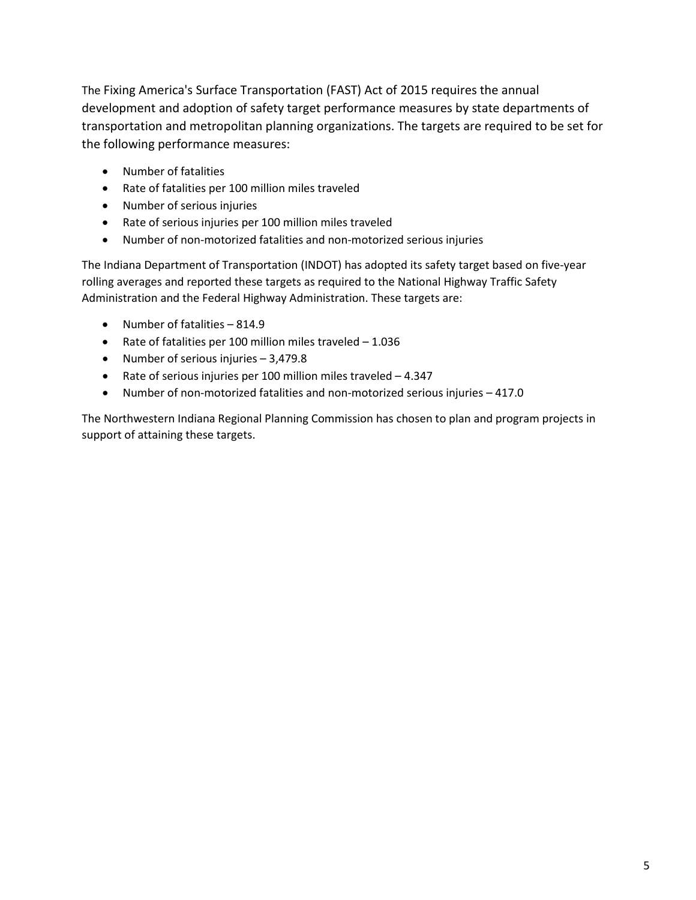The Fixing America's Surface Transportation (FAST) Act of 2015 requires the annual development and adoption of safety target performance measures by state departments of transportation and metropolitan planning organizations. The targets are required to be set for the following performance measures:

- Number of fatalities
- Rate of fatalities per 100 million miles traveled
- Number of serious injuries
- Rate of serious injuries per 100 million miles traveled
- Number of non-motorized fatalities and non-motorized serious injuries

The Indiana Department of Transportation (INDOT) has adopted its safety target based on five-year rolling averages and reported these targets as required to the National Highway Traffic Safety Administration and the Federal Highway Administration. These targets are:

- Number of fatalities 814.9
- Rate of fatalities per 100 million miles traveled 1.036
- Number of serious injuries 3,479.8
- Rate of serious injuries per 100 million miles traveled 4.347
- Number of non-motorized fatalities and non-motorized serious injuries 417.0

The Northwestern Indiana Regional Planning Commission has chosen to plan and program projects in support of attaining these targets.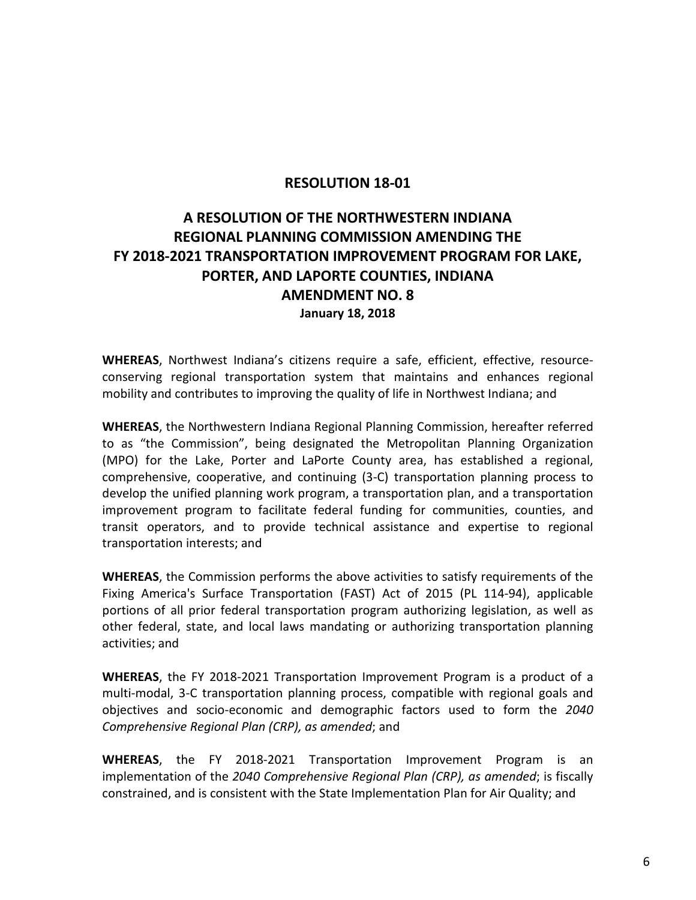## **RESOLUTION 18-01**

# **A RESOLUTION OF THE NORTHWESTERN INDIANA REGIONAL PLANNING COMMISSION AMENDING THE FY 2018-2021 TRANSPORTATION IMPROVEMENT PROGRAM FOR LAKE, PORTER, AND LAPORTE COUNTIES, INDIANA AMENDMENT NO. 8 January 18, 2018**

**WHEREAS**, Northwest Indiana's citizens require a safe, efficient, effective, resourceconserving regional transportation system that maintains and enhances regional mobility and contributes to improving the quality of life in Northwest Indiana; and

**WHEREAS**, the Northwestern Indiana Regional Planning Commission, hereafter referred to as "the Commission", being designated the Metropolitan Planning Organization (MPO) for the Lake, Porter and LaPorte County area, has established a regional, comprehensive, cooperative, and continuing (3-C) transportation planning process to develop the unified planning work program, a transportation plan, and a transportation improvement program to facilitate federal funding for communities, counties, and transit operators, and to provide technical assistance and expertise to regional transportation interests; and

**WHEREAS**, the Commission performs the above activities to satisfy requirements of the Fixing America's Surface Transportation (FAST) Act of 2015 (PL 114-94), applicable portions of all prior federal transportation program authorizing legislation, as well as other federal, state, and local laws mandating or authorizing transportation planning activities; and

**WHEREAS**, the FY 2018-2021 Transportation Improvement Program is a product of a multi-modal, 3-C transportation planning process, compatible with regional goals and objectives and socio-economic and demographic factors used to form the *2040 Comprehensive Regional Plan (CRP), as amended*; and

**WHEREAS**, the FY 2018-2021 Transportation Improvement Program is an implementation of the *2040 Comprehensive Regional Plan (CRP), as amended*; is fiscally constrained, and is consistent with the State Implementation Plan for Air Quality; and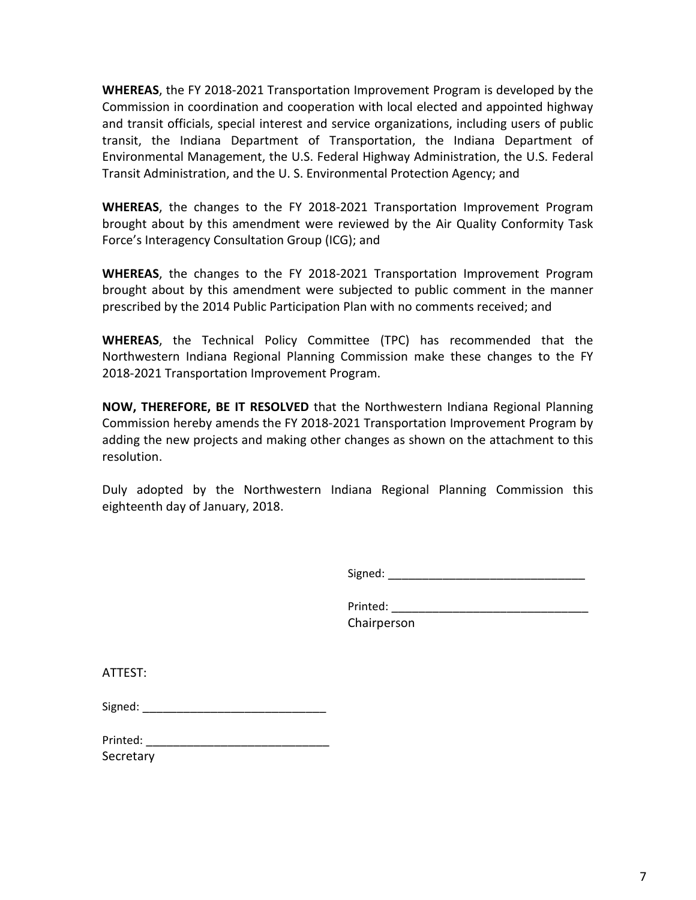**WHEREAS**, the FY 2018-2021 Transportation Improvement Program is developed by the Commission in coordination and cooperation with local elected and appointed highway and transit officials, special interest and service organizations, including users of public transit, the Indiana Department of Transportation, the Indiana Department of Environmental Management, the U.S. Federal Highway Administration, the U.S. Federal Transit Administration, and the U. S. Environmental Protection Agency; and

**WHEREAS**, the changes to the FY 2018-2021 Transportation Improvement Program brought about by this amendment were reviewed by the Air Quality Conformity Task Force's Interagency Consultation Group (ICG); and

**WHEREAS**, the changes to the FY 2018-2021 Transportation Improvement Program brought about by this amendment were subjected to public comment in the manner prescribed by the 2014 Public Participation Plan with no comments received; and

**WHEREAS**, the Technical Policy Committee (TPC) has recommended that the Northwestern Indiana Regional Planning Commission make these changes to the FY 2018-2021 Transportation Improvement Program.

**NOW, THEREFORE, BE IT RESOLVED** that the Northwestern Indiana Regional Planning Commission hereby amends the FY 2018-2021 Transportation Improvement Program by adding the new projects and making other changes as shown on the attachment to this resolution.

Duly adopted by the Northwestern Indiana Regional Planning Commission this eighteenth day of January, 2018.

Signed: \_\_\_\_\_\_\_\_\_\_\_\_\_\_\_\_\_\_\_\_\_\_\_\_\_\_\_\_\_

Printed:  $\blacksquare$ Chairperson

ATTEST:

| Printed: |  |
|----------|--|
|----------|--|

**Secretary**